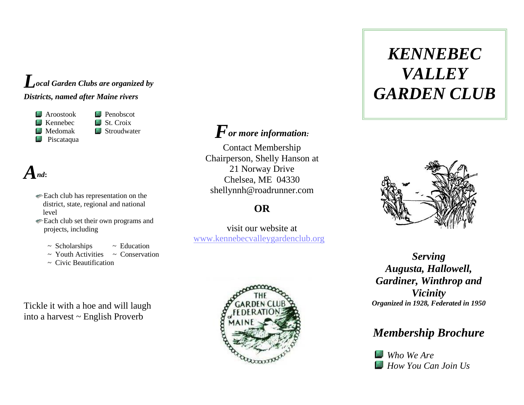#### *Local Garden Clubs are organized by Districts, named after Maine rivers*

 Aroostook Penobscot  $\blacksquare$  Kennebec  $\blacksquare$  St. Croix Medomak **B** Stroudwater **Piscataqua** 

## *And***:**

- Each club has representation on the district, state, regional and national level
- Each club set their own programs and projects, including
	-
	- $\sim$  Scholarships  $\sim$  Education
	- $\sim$  Youth Activities  $\sim$  Conservation
	- $\sim$  Civic Beautification

Tickle it with a hoe and will laugh into a harvest ~ English Proverb

#### *For more information:*

Contact Membership Chairperson, Shelly Hanson at 21 Norway Drive Chelsea, ME 04330 shellynnh@roadrunner.com

#### **OR**

visit our website at [www.kennebecvalleygardenclub.org](http://www.kennebecvalleygardenclub.org/)



# *VALLEY KENNEBEC GARDEN CLUB*



*Serving Augusta, Hallowell, Gardiner, Winthrop and Vicinity Organized in 1928, Federated in 1950*

#### *Membership Brochure*

*Who We Are How You Can Join Us*